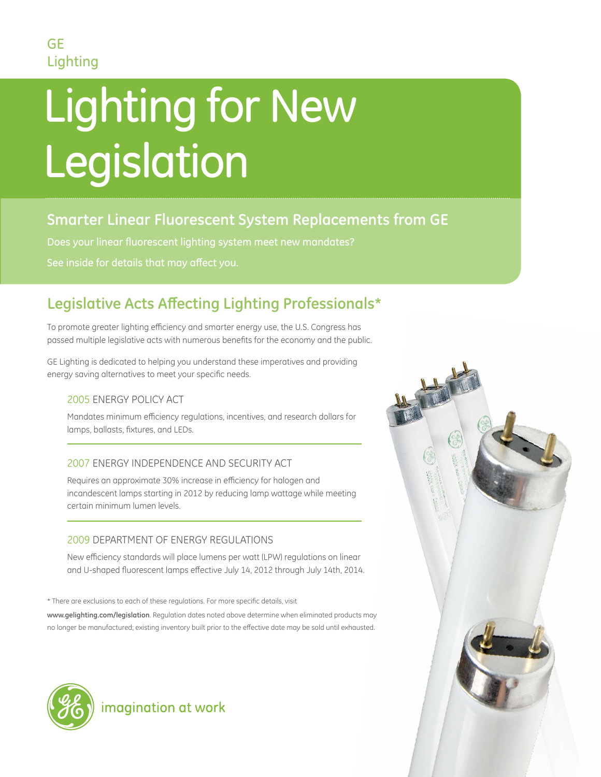# Lighting for New Legislation and

### **Smarter Linear Fluorescent System Replacements from GE**

Does your linear fluorescent lighting system meet new mandates? See inside for details that may affect you.

## **Legislative Acts Affecting Lighting Professionals\***

To promote greater lighting efficiency and smarter energy use, the U.S. Congress has passed multiple legislative acts with numerous benefits for the economy and the public.

GE Lighting is dedicated to helping you understand these imperatives and providing energy saving alternatives to meet your specific needs.

#### 2005 ENERGY POLICY ACT

Mandates minimum efficiency regulations, incentives, and research dollars for lamps, ballasts, fixtures, and LEDs.

#### 2007 ENERGY INDEPENDENCE AND SECURITY ACT

Requires an approximate 30% increase in efficiency for halogen and incandescent lamps starting in 2012 by reducing lamp wattage while meeting certain minimum lumen levels.

#### 2009 DEPARTMENT OF ENERGY REGULATIONS

New efficiency standards will place lumens per watt (LPW) regulations on linear and U-shaped fluorescent lamps effective July 14, 2012 through July 14th, 2014.

\* There are exclusions to each of these regulations. For more specific details, visit **www.gelighting.com/legislation**. Regulation dates noted above determine when eliminated products may no longer be manufactured; existing inventory built prior to the effective date may be sold until exhausted.





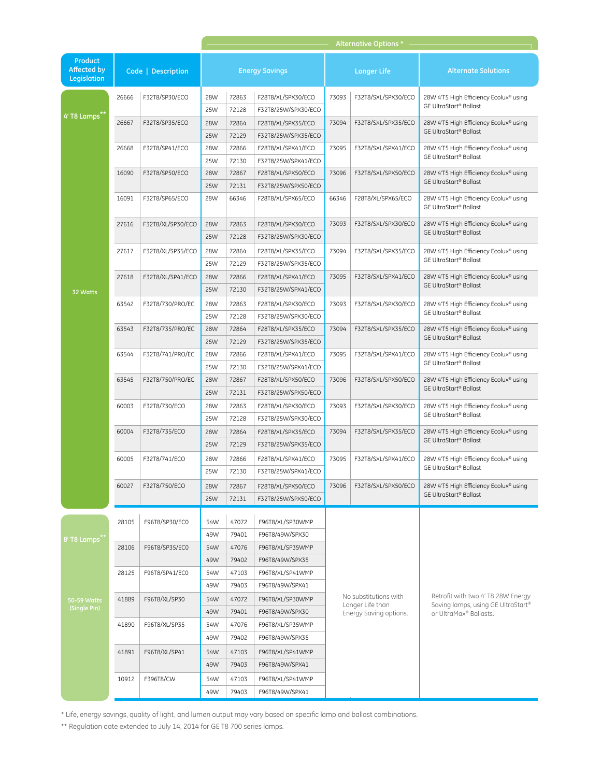|                                                     |                    |                   |                       |                         |                                                        |                                                                     | Alternative Options |                                                                                                    |  |  |
|-----------------------------------------------------|--------------------|-------------------|-----------------------|-------------------------|--------------------------------------------------------|---------------------------------------------------------------------|---------------------|----------------------------------------------------------------------------------------------------|--|--|
| <b>Product</b><br><b>Affected by</b><br>Legislation | Code   Description |                   | <b>Energy Savings</b> |                         |                                                        | <b>Longer Life</b>                                                  |                     | <b>Alternate Solutions</b>                                                                         |  |  |
|                                                     | 26666              | F32T8/SP30/ECO    | 28W<br>25W            | 72863<br>72128          | F28T8/XL/SPX30/ECO<br>F32T8/25W/SPX30/ECO              | 73093                                                               | F32T8/SXL/SPX30/ECO | 28W 4'T5 High Efficiency Ecolux® using<br><b>GE UltraStart<sup>®</sup> Ballast</b>                 |  |  |
| 4' T8 Lamps"                                        | 26667              | F32T8/SP35/ECO    | 28W<br>25W            | 72864<br>72129          | F28T8/XL/SPX35/ECO<br>F32T8/25W/SPX35/ECO              | 73094                                                               | F32T8/SXL/SPX35/ECO | 28W 4'T5 High Efficiency Ecolux® using<br>GE UltraStart® Ballast                                   |  |  |
|                                                     | 26668              | F32T8/SP41/ECO    | 28W<br>25W            | 72866<br>72130          | F28T8/XL/SPX41/ECO<br>F32T8/25W/SPX41/ECO              | 73095                                                               | F32T8/SXL/SPX41/ECO | 28W 4'T5 High Efficiency Ecolux® using<br><b>GE UltraStart<sup>®</sup> Ballast</b>                 |  |  |
|                                                     | 16090              | F32T8/SP50/ECO    | 28W<br>25W            | 72867<br>72131          | F28T8/XL/SPX50/ECO<br>F32T8/25W/SPX50/ECO              | 73096                                                               | F32T8/SXL/SPX50/ECO | 28W 4'T5 High Efficiency Ecolux® using<br>GE UltraStart® Ballast                                   |  |  |
|                                                     | 16091              | F32T8/SP65/ECO    | 28W                   | 66346                   | F28T8/XL/SPX65/ECO                                     | 66346                                                               | F28T8/XL/SPX65/ECO  | 28W 4'T5 High Efficiency Ecolux® using<br>GE UltraStart® Ballast                                   |  |  |
|                                                     | 27616              | F32T8/XL/SP30/ECO | 28W<br>25W            | 72863<br>72128          | F28T8/XL/SPX30/ECO<br>F32T8/25W/SPX30/ECO              | 73093                                                               | F32T8/SXL/SPX30/ECO | 28W 4'T5 High Efficiency Ecolux® using<br>GE UltraStart® Ballast                                   |  |  |
|                                                     | 27617              | F32T8/XL/SP35/ECO | 28W<br>25W            | 72864<br>72129          | F28T8/XL/SPX35/ECO<br>F32T8/25W/SPX35/ECO              | 73094                                                               | F32T8/SXL/SPX35/ECO | 28W 4'T5 High Efficiency Ecolux® using<br><b>GE UltraStart<sup>®</sup> Ballast</b>                 |  |  |
| 32 Watts                                            | 27618              | F32T8/XL/SP41/ECO | 28W<br>25W            | 72866<br>72130          | F28T8/XL/SPX41/ECO<br>F32T8/25W/SPX41/ECO              | 73095                                                               | F32T8/SXL/SPX41/ECO | 28W 4'T5 High Efficiency Ecolux® using<br>GE UltraStart® Ballast                                   |  |  |
|                                                     | 63542              | F32T8/730/PRO/EC  | 28W<br>25W            | 72863<br>72128          | F28T8/XL/SPX30/ECO<br>F32T8/25W/SPX30/ECO              | 73093                                                               | F32T8/SXL/SPX30/ECO | 28W 4'T5 High Efficiency Ecolux® using<br><b>GE UltraStart<sup>®</sup> Ballast</b>                 |  |  |
|                                                     | 63543              | F32T8/735/PRO/EC  | 28W<br>25W            | 72864<br>72129          | F28T8/XL/SPX35/ECO<br>F32T8/25W/SPX35/ECO              | 73094                                                               | F32T8/SXL/SPX35/ECO | 28W 4'T5 High Efficiency Ecolux® using<br>GE UltraStart® Ballast                                   |  |  |
|                                                     | 63544              | F32T8/741/PRO/EC  | 28W<br>25W            | 72866<br>72130          | F28T8/XL/SPX41/ECO<br>F32T8/25W/SPX41/ECO              | 73095                                                               | F32T8/SXL/SPX41/ECO | 28W 4'T5 High Efficiency Ecolux® using<br><b>GE UltraStart<sup>®</sup> Ballast</b>                 |  |  |
|                                                     | 63545              | F32T8/750/PRO/EC  | 28W<br>25W            | 72867<br>72131          | F28T8/XL/SPX50/ECO<br>F32T8/25W/SPX50/ECO              | 73096                                                               | F32T8/SXL/SPX50/ECO | 28W 4'T5 High Efficiency Ecolux® using<br>GE UltraStart® Ballast                                   |  |  |
|                                                     | 60003              | F32T8/730/ECO     | 28W<br>25W            | 72863<br>72128          | F28T8/XL/SPX30/ECO<br>F32T8/25W/SPX30/ECO              | 73093                                                               | F32T8/SXL/SPX30/ECO | 28W 4'T5 High Efficiency Ecolux® using<br>GE UltraStart® Ballast                                   |  |  |
|                                                     | 60004              | F32T8/735/ECO     | 28W<br>25W            | 72864<br>72129          | F28T8/XL/SPX35/ECO<br>F32T8/25W/SPX35/ECO              | 73094                                                               | F32T8/SXL/SPX35/ECO | 28W 4'T5 High Efficiency Ecolux® using<br>GE UltraStart® Ballast                                   |  |  |
|                                                     | 60005              | F32T8/741/ECO     | 28W<br>25W            | 72866<br>72130          | F28T8/XL/SPX41/ECO<br>F32T8/25W/SPX41/ECO              | 73095                                                               | F32T8/SXL/SPX41/ECO | 28W 4'T5 High Efficiency Ecolux® using<br><b>GE UltraStart<sup>®</sup> Ballast</b>                 |  |  |
|                                                     | 60027              | F32T8/750/ECO     | 28W<br>25W            | 72867<br>72131          | F28T8/XL/SPX50/ECO<br>F32T8/25W/SPX50/ECO              | 73096                                                               | F32T8/SXL/SPX50/ECO | 28W 4'T5 High Efficiency Ecolux® using<br>GE UltraStart® Ballast                                   |  |  |
|                                                     | 28105              | F96T8/SP30/EC0    | 54W                   | 47072                   | F96T8/XL/SP30WMP                                       |                                                                     |                     |                                                                                                    |  |  |
| 8' T8 Lamps*                                        | 28106              | F96T8/SP35/EC0    | 49W<br>54W            | 79401<br>47076          | F96T8/49W/SPX30<br>F96T8/XL/SP35WMP                    | No substitutions with<br>Longer Life than<br>Energy Saving options. |                     | Retrofit with two 4' T8 28W Energy<br>Saving lamps, using GE UltraStart®<br>or UltraMax® Ballasts. |  |  |
|                                                     | 28125              | F96T8/SP41/EC0    | 49W<br>54W<br>49W     | 79402<br>47103<br>79403 | F96T8/49W/SPX35<br>F96T8/XL/SP41WMP<br>F96T8/49W/SPX41 |                                                                     |                     |                                                                                                    |  |  |
| 50-59 Watts<br>(Single Pin)                         | 41889              | F96T8/XL/SP30     | 54W<br>49W            | 47072<br>79401          | F96T8/XL/SP30WMP<br>F96T8/49W/SPX30                    |                                                                     |                     |                                                                                                    |  |  |
|                                                     | 41890              | F96T8/XL/SP35     | 54W<br>49W            | 47076<br>79402          | F96T8/XL/SP35WMP<br>F96T8/49W/SPX35                    |                                                                     |                     |                                                                                                    |  |  |
|                                                     | 41891              | F96T8/XL/SP41     | 54W<br>49W            | 47103<br>79403          | F96T8/XL/SP41WMP<br>F96T8/49W/SPX41                    |                                                                     |                     |                                                                                                    |  |  |
|                                                     | 10912              | F396T8/CW         | 54W<br>49W            | 47103<br>79403          | F96T8/XL/SP41WMP<br>F96T8/49W/SPX41                    |                                                                     |                     |                                                                                                    |  |  |
|                                                     |                    |                   |                       |                         |                                                        |                                                                     |                     |                                                                                                    |  |  |

\*\* Regulation date extended to July 14, 2014 for GE T8 700 series lamps.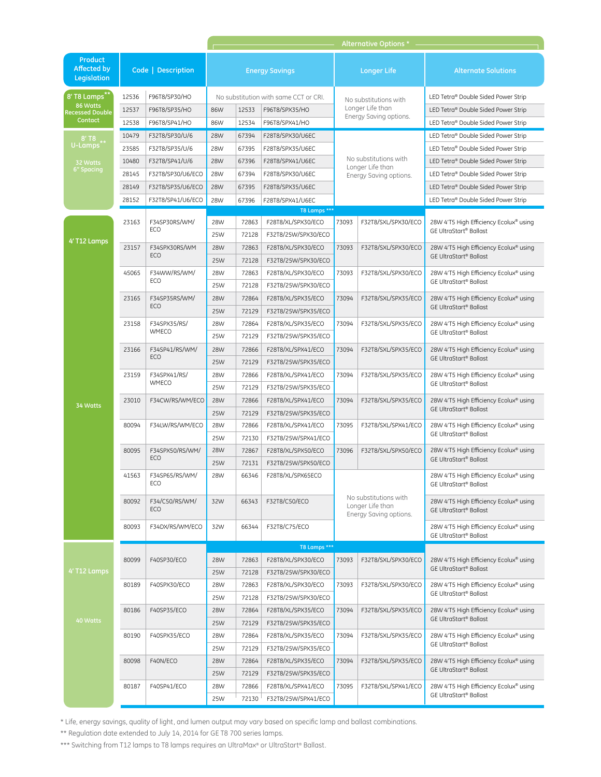|                                               |                    |                                                                               | <b>Alternative Options</b> |                                       |                     |                                                                     |                                                                   |                                                                                                                                                        |  |
|-----------------------------------------------|--------------------|-------------------------------------------------------------------------------|----------------------------|---------------------------------------|---------------------|---------------------------------------------------------------------|-------------------------------------------------------------------|--------------------------------------------------------------------------------------------------------------------------------------------------------|--|
| <b>Product</b><br>Affected by<br>Legislation  | Code   Description |                                                                               | <b>Energy Savings</b>      |                                       |                     | <b>Longer Life</b>                                                  |                                                                   | <b>Alternate Solutions</b>                                                                                                                             |  |
| 8' T8 Lamps**                                 | 12536              | F96T8/SP30/HO                                                                 |                            | No substitution with same CCT or CRI. |                     |                                                                     | No substitutions with                                             | LED Tetra® Double Sided Power Strip                                                                                                                    |  |
| 86 Watts<br><b>Recessed Double</b><br>Contact | 12537              | F96T8/SP35/HO                                                                 | 86W                        | 12533                                 | F96T8/SPX35/HO      | Longer Life than                                                    |                                                                   | LED Tetra® Double Sided Power Strip                                                                                                                    |  |
|                                               | 12538              | F96T8/SP41/HO                                                                 | 86W                        | 12534                                 | F96T8/SPX41/HO      |                                                                     | Energy Saving options.                                            | LED Tetra® Double Sided Power Strip                                                                                                                    |  |
| $8'$ T $8$                                    | 10479              | F32T8/SP30/U/6                                                                | <b>28W</b>                 | 67394                                 | F28T8/SPX30/U6EC    |                                                                     |                                                                   | LED Tetra® Double Sided Power Strip                                                                                                                    |  |
| U-Lamps <sup>®</sup>                          | 23585              | F32T8/SP35/U/6                                                                | 28W                        | 67395                                 | F28T8/SPX35/U6EC    |                                                                     |                                                                   | LED Tetra® Double Sided Power Strip                                                                                                                    |  |
| 32 Watts<br><b>6" Spacing</b>                 | 10480              | F32T8/SP41/U/6                                                                | <b>28W</b>                 | 67396                                 | F28T8/SPX41/U6EC    |                                                                     | No substitutions with                                             | LED Tetra® Double Sided Power Strip                                                                                                                    |  |
|                                               | 28145              | F32T8/SP30/U6/ECO                                                             | 28W                        | 67394                                 | F28T8/SPX30/U6EC    |                                                                     | Longer Life than<br>Energy Saving options.                        | LED Tetra® Double Sided Power Strip                                                                                                                    |  |
|                                               | 28149              | F32T8/SP35/U6/ECO                                                             | <b>28W</b>                 | 67395                                 | F28T8/SPX35/U6EC    |                                                                     |                                                                   | LED Tetra® Double Sided Power Strip                                                                                                                    |  |
|                                               | 28152              | F32T8/SP41/U6/ECO                                                             | 28W                        | 67396                                 | F28T8/SPX41/U6EC    |                                                                     |                                                                   | LED Tetra® Double Sided Power Strip                                                                                                                    |  |
|                                               |                    |                                                                               |                            |                                       | T8 Lamps ***        |                                                                     |                                                                   |                                                                                                                                                        |  |
|                                               | 23163              | F34SP30RS/WM/<br>ECO                                                          | 28W                        | 72863                                 | F28T8/XL/SPX30/ECO  | 73093                                                               | F32T8/SXL/SPX30/ECO<br>F32T8/SXL/SPX30/ECO                        | 28W 4'T5 High Efficiency Ecolux® using                                                                                                                 |  |
| 4' T12 Lamps                                  |                    |                                                                               | 25W                        | 72128                                 | F32T8/25W/SPX30/ECO |                                                                     |                                                                   | <b>GE UltraStart<sup>®</sup> Ballast</b>                                                                                                               |  |
|                                               | 23157              | F34SPX30RS/WM<br><b>ECO</b>                                                   | 28W                        | 72863                                 | F28T8/XL/SPX30/ECO  | 73093                                                               |                                                                   | 28W 4'T5 High Efficiency Ecolux® using                                                                                                                 |  |
|                                               |                    |                                                                               | 25W                        | 72128                                 | F32T8/25W/SPX30/ECO |                                                                     |                                                                   | <b>GE UltraStart<sup>®</sup> Ballast</b>                                                                                                               |  |
|                                               | 45065              | F34WW/RS/WM/<br>ECO                                                           | 28W                        | 72863                                 | F28T8/XL/SPX30/ECO  | 73093                                                               | F32T8/SXL/SPX30/ECO                                               | 28W 4'T5 High Efficiency Ecolux® using                                                                                                                 |  |
|                                               |                    |                                                                               | 25W                        | 72128                                 | F32T8/25W/SPX30/ECO |                                                                     |                                                                   | <b>GE UltraStart<sup>®</sup> Ballast</b>                                                                                                               |  |
|                                               | 23165              | F34SP35RS/WM/<br>ECO<br>F34SPX35/RS/<br><b>WMECO</b><br>F34SP41/RS/WM/<br>ECO | 28W                        | 72864                                 | F28T8/XL/SPX35/ECO  | 73094                                                               | F32T8/SXL/SPX35/ECO<br>F32T8/SXL/SPX35/ECO<br>F32T8/SXL/SPX35/ECO | 28W 4'T5 High Efficiency Ecolux® using<br><b>GE UltraStart<sup>®</sup> Ballast</b>                                                                     |  |
|                                               |                    |                                                                               | 25W                        | 72129                                 | F32T8/25W/SPX35/ECO |                                                                     |                                                                   |                                                                                                                                                        |  |
|                                               | 23158              |                                                                               | 28W                        | 72864                                 | F28T8/XL/SPX35/ECO  | 73094                                                               |                                                                   | 28W 4'T5 High Efficiency Ecolux® using                                                                                                                 |  |
| 34 Watts                                      |                    |                                                                               | 25W                        | 72129                                 | F32T8/25W/SPX35/ECO |                                                                     |                                                                   | GE UltraStart® Ballast                                                                                                                                 |  |
|                                               | 23166              |                                                                               | 28W                        | 72866                                 | F28T8/XL/SPX41/ECO  | 73094                                                               |                                                                   | 28W 4'T5 High Efficiency Ecolux® using<br><b>GE UltraStart<sup>®</sup> Ballast</b>                                                                     |  |
|                                               |                    |                                                                               | 25W                        | 72129                                 | F32T8/25W/SPX35/ECO |                                                                     |                                                                   |                                                                                                                                                        |  |
|                                               | 23159              | F34SPX41/RS/<br><b>WMECO</b>                                                  | 28W                        | 72866                                 | F28T8/XL/SPX41/ECO  | 73094                                                               | F32T8/SXL/SPX35/ECO                                               | 28W 4'T5 High Efficiency Ecolux® using<br>GE UltraStart® Ballast<br>28W 4'T5 High Efficiency Ecolux® using<br><b>GE UltraStart<sup>®</sup> Ballast</b> |  |
|                                               |                    |                                                                               | 25W                        | 72129                                 | F32T8/25W/SPX35/ECO |                                                                     |                                                                   |                                                                                                                                                        |  |
|                                               | 23010              | F34CW/RS/WM/ECO<br>F34LW/RS/WM/ECO<br>F34SPX50/RS/WM/<br>ECO                  | 28W                        | 72866                                 | F28T8/XL/SPX41/ECO  | 73094                                                               | F32T8/SXL/SPX35/ECO                                               |                                                                                                                                                        |  |
|                                               |                    |                                                                               | 25W                        | 72129                                 | F32T8/25W/SPX35/ECO |                                                                     |                                                                   |                                                                                                                                                        |  |
|                                               | 80094              |                                                                               | 28W                        | 72866                                 | F28T8/XL/SPX41/ECO  | 73095                                                               | F32T8/SXL/SPX41/ECO                                               | 28W 4'T5 High Efficiency Ecolux® using<br><b>GE UltraStart<sup>®</sup> Ballast</b>                                                                     |  |
|                                               |                    |                                                                               | 25W                        | 72130                                 | F32T8/25W/SPX41/ECO |                                                                     |                                                                   |                                                                                                                                                        |  |
|                                               | 80095              |                                                                               | 28W                        | 72867                                 | F28T8/XL/SPX50/ECO  | 73096                                                               | F32T8/SXL/SPX50/ECO                                               | 28W 4'T5 High Efficiency Ecolux® using<br><b>GE UltraStart<sup>®</sup> Ballast</b>                                                                     |  |
|                                               |                    |                                                                               | 25W                        | 72131                                 | F32T8/25W/SPX50/ECO |                                                                     |                                                                   |                                                                                                                                                        |  |
|                                               | 41563              | F34SP65/RS/WM/<br>ECO                                                         | 28W                        | 66346                                 | F28T8/XL/SPX65ECO   | No substitutions with<br>Longer Life than<br>Energy Saving options. |                                                                   | 28W 4'T5 High Efficiency Ecolux® using<br>GE UltraStart® Ballast                                                                                       |  |
|                                               | 80092              | F34/C50/RS/WM/<br>ECO                                                         | 32W                        | 66343                                 | F32T8/C50/ECO       |                                                                     |                                                                   | 28W 4'T5 High Efficiency Ecolux® using<br>GE UltraStart® Ballast                                                                                       |  |
|                                               | 80093              | F34DX/RS/WM/ECO                                                               | 32W                        | 66344                                 | F32T8/C75/ECO       |                                                                     |                                                                   | 28W 4'T5 High Efficiency Ecolux® using<br><b>GE UltraStart<sup>®</sup> Ballast</b>                                                                     |  |
|                                               |                    |                                                                               |                            |                                       | T8 Lamps ***        |                                                                     |                                                                   |                                                                                                                                                        |  |
|                                               | 80099              | F40SP30/ECO                                                                   | 28W                        | 72863                                 | F28T8/XL/SPX30/ECO  | 73093                                                               | F32T8/SXL/SPX30/ECO                                               | 28W 4'T5 High Efficiency Ecolux® using                                                                                                                 |  |
| 4' T12 Lamps                                  |                    |                                                                               | 25W                        | 72128                                 | F32T8/25W/SPX30/ECO |                                                                     |                                                                   | GE UltraStart <sup>®</sup> Ballast                                                                                                                     |  |
|                                               | 80189              | F40SPX30/ECO                                                                  | 28W                        | 72863                                 | F28T8/XL/SPX30/ECO  | 73093                                                               | F32T8/SXL/SPX30/ECO                                               | 28W 4'T5 High Efficiency Ecolux® using<br><b>GE UltraStart<sup>®</sup> Ballast</b>                                                                     |  |
|                                               |                    |                                                                               | 25W                        | 72128                                 | F32T8/25W/SPX30/ECO |                                                                     |                                                                   |                                                                                                                                                        |  |
|                                               | 80186              | F40SP35/ECO                                                                   | 28W                        | 72864                                 | F28T8/XL/SPX35/ECO  | 73094                                                               | F32T8/SXL/SPX35/ECO                                               | 28W 4'T5 High Efficiency Ecolux® using<br>GE UltraStart <sup>®</sup> Ballast                                                                           |  |
| 40 Watts                                      |                    |                                                                               | 25W                        | 72129                                 | F32T8/25W/SPX35/ECO |                                                                     |                                                                   |                                                                                                                                                        |  |
|                                               | 80190              | F40SPX35/ECO                                                                  | 28W                        | 72864                                 | F28T8/XL/SPX35/ECO  | 73094                                                               | F32T8/SXL/SPX35/ECO                                               | 28W 4'T5 High Efficiency Ecolux® using<br><b>GE UltraStart<sup>®</sup> Ballast</b>                                                                     |  |
|                                               |                    |                                                                               | 25W                        | 72129                                 | F32T8/25W/SPX35/ECO |                                                                     |                                                                   |                                                                                                                                                        |  |
|                                               | 80098              | F40N/ECO                                                                      | 28W                        | 72864                                 | F28T8/XL/SPX35/ECO  | 73094                                                               | F32T8/SXL/SPX35/ECO                                               | 28W 4'T5 High Efficiency Ecolux® using<br>GE UltraStart <sup>®</sup> Ballast                                                                           |  |
|                                               |                    |                                                                               | 25W                        | 72129                                 | F32T8/25W/SPX35/ECO |                                                                     |                                                                   |                                                                                                                                                        |  |
|                                               | 80187              | F40SP41/ECO                                                                   | 28W                        | 72866                                 | F28T8/XL/SPX41/ECO  | 73095                                                               | F32T8/SXL/SPX41/ECO                                               | 28W 4'T5 High Efficiency Ecolux® using<br>GE UltraStart® Ballast                                                                                       |  |
|                                               |                    |                                                                               | 25W                        | 72130                                 | F32T8/25W/SPX41/ECO |                                                                     |                                                                   |                                                                                                                                                        |  |

\*\* Regulation date extended to July 14, 2014 for GE T8 700 series lamps.

\*\*\* Switching from T12 lamps to T8 lamps requires an UltraMax® or UltraStart® Ballast.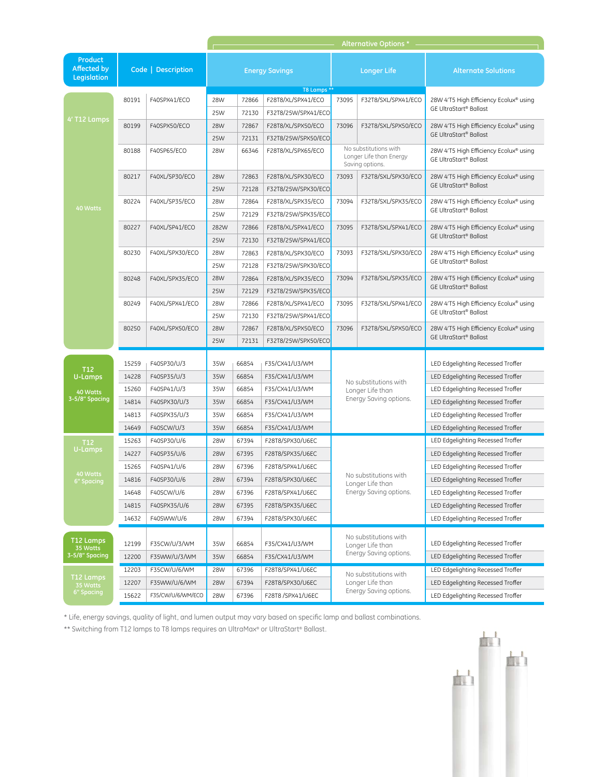|                                              |                    |                   |                       |                |                                           | Alternative Options *                                               |                                            |                                                                                    |  |
|----------------------------------------------|--------------------|-------------------|-----------------------|----------------|-------------------------------------------|---------------------------------------------------------------------|--------------------------------------------|------------------------------------------------------------------------------------|--|
| Product<br><b>Affected by</b><br>Legislation | Code   Description |                   | <b>Energy Savings</b> |                |                                           | <b>Longer Life</b>                                                  |                                            | <b>Alternate Solutions</b>                                                         |  |
|                                              |                    | F40SPX41/ECO      |                       |                | T8 Lamps **                               |                                                                     |                                            |                                                                                    |  |
|                                              | 80191              |                   | 28W<br>25W            | 72866<br>72130 | F28T8/XL/SPX41/ECO<br>F32T8/25W/SPX41/ECO | 73095                                                               | F32T8/SXL/SPX41/ECO                        | 28W 4'T5 High Efficiency Ecolux® using<br><b>GE UltraStart<sup>®</sup> Ballast</b> |  |
| 4' T12 Lamps                                 | 80199              | F40SPX50/ECO      | 28W                   | 72867          | F28T8/XL/SPX50/ECO                        | 73096                                                               | F32T8/SXL/SPX50/ECO                        | 28W 4'T5 High Efficiency Ecolux® using                                             |  |
|                                              |                    |                   | 25W                   | 72131          | F32T8/25W/SPX50/ECO                       |                                                                     |                                            | <b>GE UltraStart<sup>®</sup> Ballast</b>                                           |  |
|                                              | 80188              | F40SP65/ECO       | 28W                   | 66346          | F28T8/XL/SPX65/ECO                        |                                                                     | No substitutions with                      | 28W 4'T5 High Efficiency Ecolux® using                                             |  |
|                                              |                    |                   |                       |                |                                           |                                                                     | Longer Life than Energy<br>Saving options. | <b>GE UltraStart® Ballast</b>                                                      |  |
|                                              | 80217              | F40XL/SP30/ECO    | 28W                   | 72863          | F28T8/XL/SPX30/ECO                        | 73093                                                               | F32T8/SXL/SPX30/ECO                        | 28W 4'T5 High Efficiency Ecolux® using                                             |  |
|                                              |                    |                   | 25W                   | 72128          | F32T8/25W/SPX30/ECO                       |                                                                     |                                            | <b>GE UltraStart<sup>®</sup> Ballast</b>                                           |  |
| 40 Watts                                     | 80224              | F40XL/SP35/ECO    | 28W                   | 72864          | F28T8/XL/SPX35/ECO                        | 73094                                                               | F32T8/SXL/SPX35/ECO                        | 28W 4'T5 High Efficiency Ecolux® using                                             |  |
|                                              |                    |                   | 25W                   | 72129          | F32T8/25W/SPX35/ECO                       |                                                                     |                                            | GE UltraStart® Ballast                                                             |  |
|                                              | 80227              | F40XL/SP41/ECO    | 282W                  | 72866          | F28T8/XL/SPX41/ECO                        | 73095                                                               | F32T8/SXL/SPX41/ECO                        | 28W 4'T5 High Efficiency Ecolux® using<br><b>GE UltraStart<sup>®</sup> Ballast</b> |  |
|                                              |                    |                   | 25W                   | 72130          | F32T8/25W/SPX41/ECO                       |                                                                     |                                            |                                                                                    |  |
|                                              | 80230              | F40XL/SPX30/ECO   | 28W                   | 72863          | F28T8/XL/SPX30/ECO                        | 73093                                                               | F32T8/SXL/SPX30/ECO                        | 28W 4'T5 High Efficiency Ecolux® using<br>GE UltraStart® Ballast                   |  |
|                                              |                    |                   | 25W                   | 72128          | F32T8/25W/SPX30/ECO                       |                                                                     |                                            |                                                                                    |  |
|                                              | 80248              | F40XL/SPX35/ECO   | 28W                   | 72864          | F28T8/XL/SPX35/ECO                        | 73094                                                               | F32T8/SXL/SPX35/ECO                        | 28W 4'T5 High Efficiency Ecolux® using<br><b>GE UltraStart<sup>®</sup> Ballast</b> |  |
|                                              |                    |                   | 25W                   | 72129          | F32T8/25W/SPX35/ECO                       |                                                                     |                                            |                                                                                    |  |
|                                              | 80249              | F40XL/SPX41/ECO   | 28W                   | 72866          | F28T8/XL/SPX41/ECO                        | 73095                                                               | F32T8/SXL/SPX41/ECO                        | 28W 4'T5 High Efficiency Ecolux® using<br><b>GE UltraStart<sup>®</sup> Ballast</b> |  |
|                                              | 80250              | F40XL/SPX50/ECO   | 25W<br>28W            | 72130<br>72867 | F32T8/25W/SPX41/ECO<br>F28T8/XL/SPX50/ECO | 73096                                                               | F32T8/SXL/SPX50/ECO                        | 28W 4'T5 High Efficiency Ecolux® using                                             |  |
|                                              |                    |                   | 25W                   | 72131          | F32T8/25W/SPX50/ECO                       |                                                                     |                                            | <b>GE UltraStart<sup>®</sup> Ballast</b>                                           |  |
|                                              |                    |                   |                       |                |                                           |                                                                     |                                            |                                                                                    |  |
|                                              | 15259              | F40SP30/U/3       | 35W                   | 66854          | F35/CX41/U3/WM                            |                                                                     |                                            | LED Edgelighting Recessed Troffer                                                  |  |
| T <sub>12</sub><br>U-Lamps                   | 14228              | F40SP35/U/3       | 35W                   | 66854          | F35/CX41/U3/WM                            | No substitutions with<br>Longer Life than<br>Energy Saving options. |                                            | LED Edgelighting Recessed Troffer                                                  |  |
| 40 Watts                                     | 15260              | F40SP41/U/3       | 35W                   | 66854          | F35/CX41/U3/WM                            |                                                                     |                                            | LED Edgelighting Recessed Troffer                                                  |  |
| 3-5/8" Spacing                               | 14814              | F40SPX30/U/3      | 35W                   | 66854          | F35/CX41/U3/WM                            |                                                                     |                                            | LED Edgelighting Recessed Troffer                                                  |  |
|                                              | 14813              | F40SPX35/U/3      | 35W                   | 66854          | F35/CX41/U3/WM                            |                                                                     |                                            | LED Edgelighting Recessed Troffer                                                  |  |
|                                              | 14649              | F40SCW/U/3        | 35W                   | 66854          | F35/CX41/U3/WM                            |                                                                     |                                            | LED Edgelighting Recessed Troffer                                                  |  |
| T <sub>12</sub>                              | 15263              | F40SP30/U/6       | 28W                   | 67394          | F28T8/SPX30/U6EC                          |                                                                     |                                            | LED Edgelighting Recessed Troffer                                                  |  |
| <b>U-Lamps</b>                               | 14227              | F40SP35/U/6       | 28W                   | 67395          | F28T8/SPX35/U6EC                          |                                                                     |                                            | LED Edgelighting Recessed Troffer                                                  |  |
| 40 Watts                                     | 15265              | F40SP41/U/6       | 28W                   | 67396          | F28T8/SPX41/U6EC                          | No substitutions with<br>Longer Life than<br>Energy Saving options. |                                            | LED Edgelighting Recessed Troffer                                                  |  |
| 6" Spacing                                   | 14816              | F40SP30/U/6       | 28W                   | 67394          | F28T8/SPX30/U6EC                          |                                                                     |                                            | LED Edgelighting Recessed Troffer                                                  |  |
|                                              | 14648              | F40SCW/U/6        | 28W                   | 67396          | F28T8/SPX41/U6EC                          |                                                                     |                                            | LED Edgelighting Recessed Troffer                                                  |  |
|                                              | 14815              | F40SPX35/U/6      | 28W                   | 67395          | F28T8/SPX35/U6EC                          |                                                                     |                                            | LED Edgelighting Recessed Troffer                                                  |  |
|                                              | 14632              | F40SWW/U/6        | 28W                   | 67394          | F28T8/SPX30/U6EC                          |                                                                     |                                            | LED Edgelighting Recessed Troffer                                                  |  |
| T12 Lamps<br>35 Watts                        | 12199              | F35CW/U/3/WM      | 35W                   | 66854          | F35/CX41/U3/WM                            | No substitutions with<br>Longer Life than                           |                                            | LED Edgelighting Recessed Troffer                                                  |  |
| 3-5/8" Spacing                               | 12200              | F35WW/U/3/WM      | 35W                   | 66854          | F35/CX41/U3/WM                            |                                                                     | Energy Saving options.                     | LED Edgelighting Recessed Troffer                                                  |  |
|                                              | 12203              | F35CW/U/6/WM      | 28W                   | 67396          | F28T8/SPX41/U6EC                          |                                                                     | No substitutions with                      | LED Edgelighting Recessed Troffer                                                  |  |
| T <sub>12</sub> Lamps<br>35 Watts            | 12207              | F35WW/U/6/WM      | 28W                   | 67394          | F28T8/SPX30/U6EC                          |                                                                     | Longer Life than                           | LED Edgelighting Recessed Troffer                                                  |  |
| <b>6" Spacing</b>                            | 15622              | F35/CW/U/6/WM/ECO | 28W                   | 67396          | F28T8 /SPX41/U6EC                         |                                                                     | Energy Saving options.                     | LED Edgelighting Recessed Troffer                                                  |  |

\*\* Switching from T12 lamps to T8 lamps requires an UltraMax® or UltraStart® Ballast.

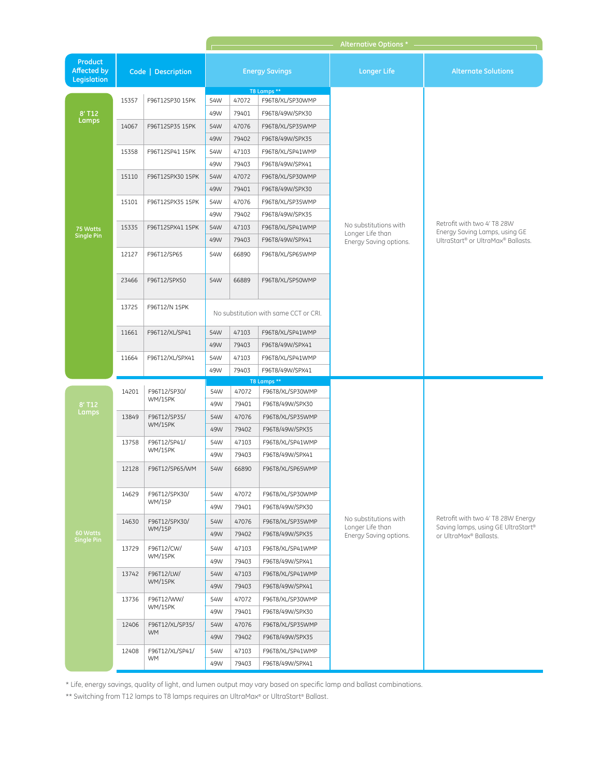|                                                     |                    |                                                                          | Alternative Options * |       |                                       |                                                                     |                                                                                                    |  |  |  |
|-----------------------------------------------------|--------------------|--------------------------------------------------------------------------|-----------------------|-------|---------------------------------------|---------------------------------------------------------------------|----------------------------------------------------------------------------------------------------|--|--|--|
| <b>Product</b><br><b>Affected by</b><br>Legislation | Code   Description |                                                                          | <b>Energy Savings</b> |       |                                       | <b>Longer Life</b>                                                  | <b>Alternate Solutions</b>                                                                         |  |  |  |
|                                                     | 15357              | F96T12SP30 15PK                                                          | 54W                   | 47072 | T8 Lamps **<br>F96T8/XL/SP30WMP       |                                                                     |                                                                                                    |  |  |  |
| 8' T12                                              |                    |                                                                          | 49W                   | 79401 | F96T8/49W/SPX30                       |                                                                     |                                                                                                    |  |  |  |
| Lamps                                               | 14067              | F96T12SP35 15PK                                                          | 54W                   | 47076 | F96T8/XL/SP35WMP                      |                                                                     |                                                                                                    |  |  |  |
|                                                     |                    |                                                                          | 49W                   | 79402 | F96T8/49W/SPX35                       |                                                                     |                                                                                                    |  |  |  |
|                                                     | 15358              | F96T12SP41 15PK<br>F96T12SPX30 15PK                                      | 54W                   | 47103 | F96T8/XL/SP41WMP                      |                                                                     |                                                                                                    |  |  |  |
|                                                     |                    |                                                                          | 49W                   | 79403 | F96T8/49W/SPX41                       |                                                                     |                                                                                                    |  |  |  |
|                                                     | 15110              |                                                                          | 54W                   | 47072 | F96T8/XL/SP30WMP                      |                                                                     |                                                                                                    |  |  |  |
|                                                     |                    |                                                                          | 49W                   | 79401 | F96T8/49W/SPX30                       |                                                                     |                                                                                                    |  |  |  |
|                                                     | 15101              | F96T12SPX35 15PK                                                         | 54W                   | 47076 | F96T8/XL/SP35WMP                      |                                                                     |                                                                                                    |  |  |  |
|                                                     |                    |                                                                          | 49W                   | 79402 | F96T8/49W/SPX35                       |                                                                     |                                                                                                    |  |  |  |
| 75 Watts                                            | 15335              | F96T12SPX41 15PK                                                         | 54W                   | 47103 | F96T8/XL/SP41WMP                      | No substitutions with                                               | Retrofit with two 4' T8 28W                                                                        |  |  |  |
| <b>Single Pin</b>                                   |                    |                                                                          | 49W                   | 79403 | F96T8/49W/SPX41                       | Longer Life than<br>Energy Saving options.                          | Energy Saving Lamps, using GE<br>UltraStart® or UltraMax® Ballasts.                                |  |  |  |
|                                                     | 12127              | F96T12/SP65                                                              | 54W                   | 66890 | F96T8/XL/SP65WMP                      |                                                                     |                                                                                                    |  |  |  |
|                                                     | 23466              | F96T12/SPX50                                                             | 54W                   | 66889 | F96T8/XL/SP50WMP                      |                                                                     |                                                                                                    |  |  |  |
|                                                     | 13725              | F96T12/N 15PK                                                            |                       |       | No substitution with same CCT or CRI. |                                                                     |                                                                                                    |  |  |  |
|                                                     | 11661              | F96T12/XL/SP41                                                           | 54W                   | 47103 | F96T8/XL/SP41WMP                      |                                                                     |                                                                                                    |  |  |  |
|                                                     |                    |                                                                          | 49W                   | 79403 | F96T8/49W/SPX41                       |                                                                     |                                                                                                    |  |  |  |
|                                                     | 11664              | F96T12/XL/SPX41                                                          | 54W                   | 47103 | F96T8/XL/SP41WMP                      |                                                                     |                                                                                                    |  |  |  |
|                                                     |                    |                                                                          | 49W                   | 79403 | F96T8/49W/SPX41                       |                                                                     |                                                                                                    |  |  |  |
|                                                     | 14201              | F96T12/SP30/                                                             | 54W                   | 47072 | T8 Lamps **<br>F96T8/XL/SP30WMP       |                                                                     |                                                                                                    |  |  |  |
| 8' T12                                              |                    | WM/15PK                                                                  | 49W                   | 79401 | F96T8/49W/SPX30                       |                                                                     |                                                                                                    |  |  |  |
| Lamps                                               | 13849              | F96T12/SP35/<br>WM/15PK                                                  | 54W                   | 47076 | F96T8/XL/SP35WMP                      |                                                                     |                                                                                                    |  |  |  |
|                                                     |                    |                                                                          | 49W                   | 79402 | F96T8/49W/SPX35                       |                                                                     |                                                                                                    |  |  |  |
|                                                     | 13758              | F96T12/SP41/<br><b>WM/15PK</b>                                           | 54W                   | 47103 | F96T8/XL/SP41WMP                      |                                                                     | Retrofit with two 4' T8 28W Energy<br>Saving lamps, using GE UltraStart®<br>or UltraMax® Ballasts. |  |  |  |
|                                                     |                    |                                                                          | 49W                   | 79403 | F96T8/49W/SPX41                       |                                                                     |                                                                                                    |  |  |  |
|                                                     | 12128              | F96T12/SP65/WM                                                           | 54W                   | 66890 | F96T8/XL/SP65WMP                      | No substitutions with<br>Longer Life than<br>Energy Saving options. |                                                                                                    |  |  |  |
|                                                     | 14629              | F96T12/SPX30/<br><b>WM/15P</b>                                           | 54W                   | 47072 | F96T8/XL/SP30WMP                      |                                                                     |                                                                                                    |  |  |  |
|                                                     |                    |                                                                          | 49W                   | 79401 | F96T8/49W/SPX30                       |                                                                     |                                                                                                    |  |  |  |
|                                                     | 14630              | F96T12/SPX30/<br><b>WM/15P</b>                                           | 54W                   | 47076 | F96T8/XL/SP35WMP                      |                                                                     |                                                                                                    |  |  |  |
| 60 Watts                                            |                    |                                                                          | 49W                   | 79402 | F96T8/49W/SPX35                       |                                                                     |                                                                                                    |  |  |  |
| <b>Single Pin</b>                                   | 13729              | F96T12/CW/                                                               | 54W                   | 47103 | F96T8/XL/SP41WMP                      |                                                                     |                                                                                                    |  |  |  |
|                                                     |                    | WM/15PK                                                                  | 49W                   | 79403 | F96T8/49W/SPX41                       |                                                                     |                                                                                                    |  |  |  |
|                                                     | 13742              | F96T12/LW/<br>WM/15PK                                                    | 54W                   | 47103 | F96T8/XL/SP41WMP                      |                                                                     |                                                                                                    |  |  |  |
|                                                     |                    |                                                                          | 49W                   | 79403 | F96T8/49W/SPX41                       |                                                                     |                                                                                                    |  |  |  |
|                                                     | 13736<br>12406     | F96T12/WW/<br>WM/15PK<br>F96T12/XL/SP35/<br><b>WM</b><br>F96T12/XL/SP41/ | 54W                   | 47072 | F96T8/XL/SP30WMP                      |                                                                     |                                                                                                    |  |  |  |
|                                                     |                    |                                                                          | 49W                   | 79401 | F96T8/49W/SPX30                       |                                                                     |                                                                                                    |  |  |  |
|                                                     |                    |                                                                          | 54W                   | 47076 | F96T8/XL/SP35WMP                      |                                                                     |                                                                                                    |  |  |  |
|                                                     |                    |                                                                          | 49W                   | 79402 | F96T8/49W/SPX35                       |                                                                     |                                                                                                    |  |  |  |
|                                                     | 12408              |                                                                          | 54W                   | 47103 | F96T8/XL/SP41WMP                      |                                                                     |                                                                                                    |  |  |  |
|                                                     |                    | <b>WM</b>                                                                | 49W                   | 79403 | F96T8/49W/SPX41                       |                                                                     |                                                                                                    |  |  |  |

\*\* Switching from T12 lamps to T8 lamps requires an UltraMax® or UltraStart® Ballast.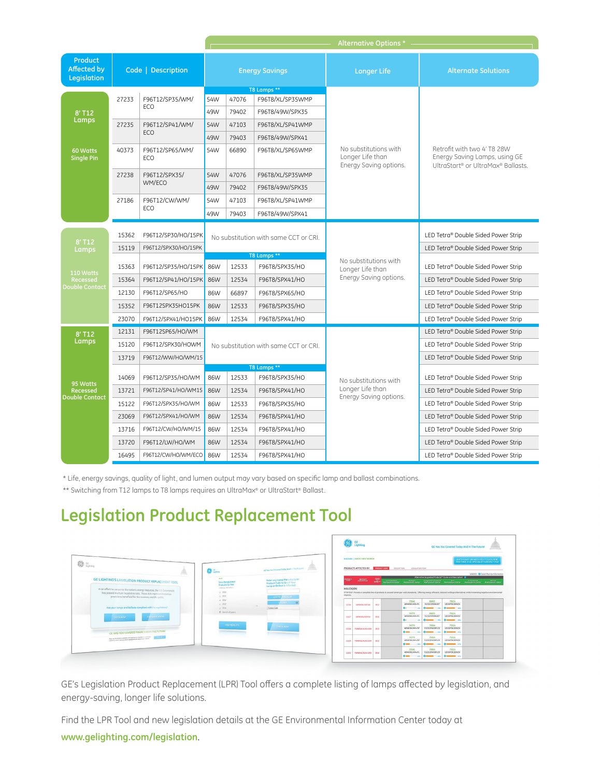|                                              |                    |                        | Alternative Options *                                |       |                               |                                                                     |                                                                                                    |  |  |
|----------------------------------------------|--------------------|------------------------|------------------------------------------------------|-------|-------------------------------|---------------------------------------------------------------------|----------------------------------------------------------------------------------------------------|--|--|
| Product<br><b>Affected by</b><br>Legislation | Code   Description |                        | <b>Energy Savings</b><br>T8 Lamps **                 |       |                               | <b>Longer Life</b>                                                  | <b>Alternate Solutions</b>                                                                         |  |  |
| 8' T12<br>Lamps                              | 27233              | F96T12/SP35/WM/<br>ECO | 54W                                                  | 47076 | F96T8/XL/SP35WMP              |                                                                     |                                                                                                    |  |  |
|                                              |                    |                        | 49W                                                  | 79402 | F96T8/49W/SPX35               |                                                                     | Retrofit with two 4' T8 28W<br>Energy Saving Lamps, using GE<br>UltraStart® or UltraMax® Ballasts. |  |  |
|                                              | 27235              | F96T12/SP41/WM/<br>ECO | 54W                                                  | 47103 | F96T8/XL/SP41WMP              | No substitutions with<br>Longer Life than<br>Energy Saving options. |                                                                                                    |  |  |
|                                              |                    |                        | 49W                                                  | 79403 | F96T8/49W/SPX41               |                                                                     |                                                                                                    |  |  |
| 60 Watts<br><b>Single Pin</b>                | 40373              | F96T12/SP65/WM/<br>ECO | 54W                                                  | 66890 | F96T8/XL/SP65WMP              |                                                                     |                                                                                                    |  |  |
|                                              | 27238              | F96T12/SPX35/          | 54W                                                  | 47076 | F96T8/XL/SP35WMP              |                                                                     |                                                                                                    |  |  |
|                                              |                    | WM/ECO                 | 49W                                                  | 79402 | F96T8/49W/SPX35               |                                                                     |                                                                                                    |  |  |
|                                              | 27186              | F96T12/CW/WM/<br>ECO   | 54W                                                  | 47103 | F96T8/XL/SP41WMP              |                                                                     |                                                                                                    |  |  |
|                                              |                    |                        | 49W                                                  | 79403 | F96T8/49W/SPX41               |                                                                     |                                                                                                    |  |  |
|                                              |                    |                        | No substitution with same CCT or CRI.<br>T8 Lamps ** |       |                               |                                                                     |                                                                                                    |  |  |
| 8' T12                                       | 15362              | F96T12/SP30/HO/15PK    |                                                      |       |                               |                                                                     | LED Tetra® Double Sided Power Strip                                                                |  |  |
| Lamps                                        | 15119              | F96T12/SPX30/HO/15PK   |                                                      |       |                               |                                                                     | LED Tetra® Double Sided Power Strip                                                                |  |  |
|                                              | 15363              | F96T12/SP35/HO/15PK    | 86W                                                  | 12533 | F96T8/SPX35/HO                | No substitutions with<br>Longer Life than<br>Energy Saving options. | LED Tetra® Double Sided Power Strip                                                                |  |  |
| 110 Watts<br>Recessed                        | 15364              | F96T12/SP41/HO/15PK    | 86W                                                  | 12534 | F96T8/SPX41/HO                |                                                                     | LED Tetra® Double Sided Power Strip                                                                |  |  |
| <b>Double Contact</b>                        | 12130              | F96T12/SP65/HO         | 86W                                                  | 66897 | F96T8/SPX65/HO                |                                                                     | LED Tetra® Double Sided Power Strip                                                                |  |  |
|                                              | 15352              | F96T12SPX35HO15PK      | 86W                                                  | 12533 | F96T8/SPX35/HO                |                                                                     | LED Tetra® Double Sided Power Strip                                                                |  |  |
|                                              | 23070              | F96T12/SPX41/HO15PK    | 86W                                                  | 12534 | F96T8/SPX41/HO                |                                                                     | LED Tetra® Double Sided Power Strip                                                                |  |  |
| 8' T12                                       | 12131              | F96T12SP65/HO/WM       |                                                      |       |                               |                                                                     | LED Tetra® Double Sided Power Strip                                                                |  |  |
| Lamps                                        | 15120              | F96T12/SPX30/HOWM      | No substitution with same CCT or CRI.                |       |                               |                                                                     | LED Tetra® Double Sided Power Strip                                                                |  |  |
|                                              | 13719              | F96T12/WW/HO/WM/15     |                                                      |       |                               |                                                                     | LED Tetra® Double Sided Power Strip                                                                |  |  |
| 95 Watts                                     | 14069              | F96T12/SP35/HO/WM      | 86W                                                  | 12533 | T8 Lamps **<br>F96T8/SPX35/HO | No substitutions with<br>Longer Life than<br>Energy Saving options. | LED Tetra® Double Sided Power Strip                                                                |  |  |
| <b>Recessed</b>                              | 13721              | F96T12/SP41/HO/WM15    | 86W                                                  | 12534 | F96T8/SPX41/HO                |                                                                     | LED Tetra® Double Sided Power Strip                                                                |  |  |
| <b>Double Contact</b>                        | 15122              | F96T12/SPX35/HO/WM     | 86W                                                  | 12533 | F96T8/SPX35/HO                |                                                                     | LED Tetra® Double Sided Power Strip                                                                |  |  |
|                                              | 23069              | F96T12/SPX41/HO/WM     | 86W                                                  | 12534 | F96T8/SPX41/HO                |                                                                     | LED Tetra® Double Sided Power Strip                                                                |  |  |
|                                              | 13716              | F96T12/CW/HO/WM/15     | 86W                                                  | 12534 | F96T8/SPX41/HO                |                                                                     | LED Tetra® Double Sided Power Strip                                                                |  |  |
|                                              | 13720              | F96T12/LW/HO/WM        | 86W                                                  | 12534 | F96T8/SPX41/HO                |                                                                     | LED Tetra® Double Sided Power Strip                                                                |  |  |
|                                              | 16495              | F96T12/CW/HO/WM/ECO    | 86W                                                  | 12534 | F96T8/SPX41/HO                |                                                                     | LED Tetra® Double Sided Power Strip                                                                |  |  |

\*\* Switching from T12 lamps to T8 lamps requires an UltraMax® or UltraStart® Ballast.

# **Legislation Product Replacement Tool**



GE's Legislation Product Replacement (LPR) Tool offers a complete listing of lamps affected by legislation, and energy-saving, longer life solutions.

**www.gelighting.com/legislation**. Find the LPR Tool and new legislation details at the GE Environmental Information Center today at